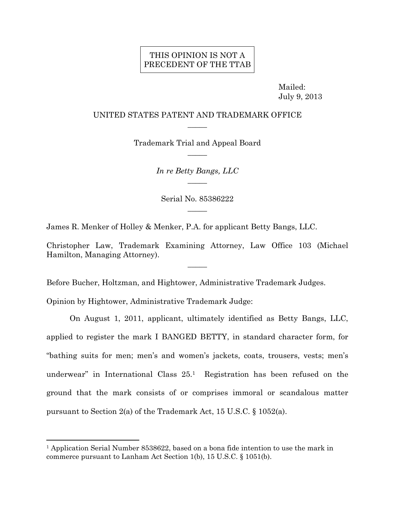## THIS OPINION IS NOT A PRECEDENT OF THE TTAB

 Mailed: July 9, 2013

## UNITED STATES PATENT AND TRADEMARK OFFICE  $\overline{\phantom{a}}$

Trademark Trial and Appeal Board  $\overline{\phantom{a}}$ 

> *In re Betty Bangs, LLC*   $\overline{\phantom{a}}$

Serial No. 85386222  $\overline{\phantom{a}}$ 

James R. Menker of Holley & Menker, P.A. for applicant Betty Bangs, LLC.

Christopher Law, Trademark Examining Attorney, Law Office 103 (Michael Hamilton, Managing Attorney).  $\overline{\phantom{a}}$ 

Before Bucher, Holtzman, and Hightower, Administrative Trademark Judges.

Opinion by Hightower, Administrative Trademark Judge:

 $\overline{a}$ 

On August 1, 2011, applicant, ultimately identified as Betty Bangs, LLC, applied to register the mark I BANGED BETTY, in standard character form, for "bathing suits for men; men's and women's jackets, coats, trousers, vests; men's underwear" in International Class 25.1 Registration has been refused on the ground that the mark consists of or comprises immoral or scandalous matter pursuant to Section 2(a) of the Trademark Act, 15 U.S.C. § 1052(a).

<sup>1</sup> Application Serial Number 8538622, based on a bona fide intention to use the mark in commerce pursuant to Lanham Act Section 1(b), 15 U.S.C. § 1051(b).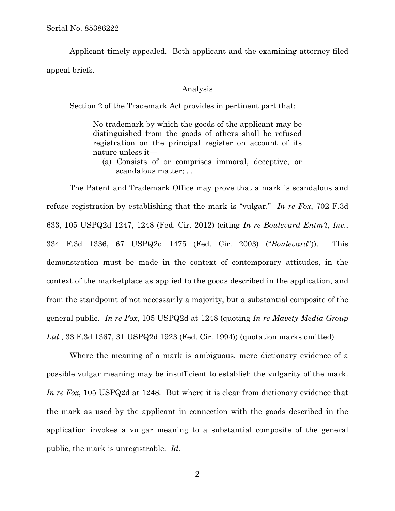Applicant timely appealed. Both applicant and the examining attorney filed appeal briefs.

## Analysis

Section 2 of the Trademark Act provides in pertinent part that:

No trademark by which the goods of the applicant may be distinguished from the goods of others shall be refused registration on the principal register on account of its nature unless it—

(a) Consists of or comprises immoral, deceptive, or scandalous matter; . . .

The Patent and Trademark Office may prove that a mark is scandalous and refuse registration by establishing that the mark is "vulgar." *In re Fox*, 702 F.3d 633, 105 USPQ2d 1247, 1248 (Fed. Cir. 2012) (citing *In re Boulevard Entm't, Inc.*, 334 F.3d 1336, 67 USPQ2d 1475 (Fed. Cir. 2003) ("*Boulevard*")). This demonstration must be made in the context of contemporary attitudes, in the context of the marketplace as applied to the goods described in the application, and from the standpoint of not necessarily a majority, but a substantial composite of the general public. *In re Fox*, 105 USPQ2d at 1248 (quoting *In re Mavety Media Group Ltd.*, 33 F.3d 1367, 31 USPQ2d 1923 (Fed. Cir. 1994)) (quotation marks omitted).

Where the meaning of a mark is ambiguous, mere dictionary evidence of a possible vulgar meaning may be insufficient to establish the vulgarity of the mark. *In re Fox*, 105 USPQ2d at 1248*.* But where it is clear from dictionary evidence that the mark as used by the applicant in connection with the goods described in the application invokes a vulgar meaning to a substantial composite of the general public, the mark is unregistrable. *Id.*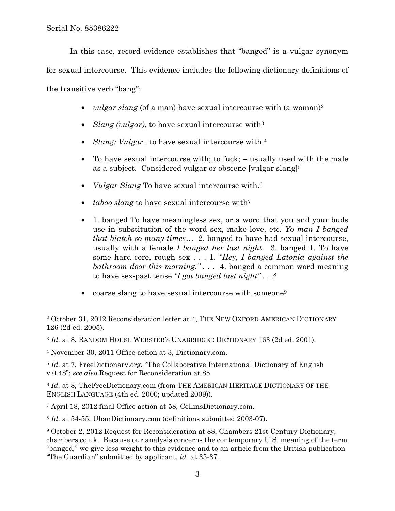$\overline{a}$ 

In this case, record evidence establishes that "banged" is a vulgar synonym for sexual intercourse. This evidence includes the following dictionary definitions of the transitive verb "bang":

- *vulgar slang* (of a man) have sexual intercourse with (a woman)<sup>2</sup>
- *Slang (vulgar)*, to have sexual intercourse with<sup>3</sup>
- *Slang: Vulgar* . to have sexual intercourse with.<sup>4</sup>
- To have sexual intercourse with; to fuck; usually used with the male as a subject. Considered vulgar or obscene [vulgar slang]5
- *Vulgar Slang* To have sexual intercourse with.6
- *taboo slang* to have sexual intercourse with<sup>7</sup>
- 1. banged To have meaningless sex, or a word that you and your buds use in substitution of the word sex, make love, etc. *Yo man I banged that biatch so many times…* 2. banged to have had sexual intercourse, usually with a female *I banged her last night*. 3. banged 1. To have some hard core, rough sex . . . 1. *"Hey, I banged Latonia against the bathroom door this morning." . . .* 4. banged a common word meaning to have sex-past tense *"I got banged last night"* . . .8
- coarse slang to have sexual intercourse with someone<sup>9</sup>

<sup>2</sup> October 31, 2012 Reconsideration letter at 4, THE NEW OXFORD AMERICAN DICTIONARY 126 (2d ed. 2005).

<sup>3</sup> *Id.* at 8, RANDOM HOUSE WEBSTER'S UNABRIDGED DICTIONARY 163 (2d ed. 2001).

<sup>4</sup> November 30, 2011 Office action at 3, Dictionary.com.

<sup>&</sup>lt;sup>5</sup> *Id.* at 7, FreeDictionary.org, "The Collaborative International Dictionary of English v.0.48"; *see also* Request for Reconsideration at 85.

<sup>6</sup> *Id.* at 8, TheFreeDictionary.com (from THE AMERICAN HERITAGE DICTIONARY OF THE ENGLISH LANGUAGE (4th ed. 2000; updated 2009)).

<sup>7</sup> April 18, 2012 final Office action at 58, CollinsDictionary.com.

<sup>8</sup> *Id.* at 54-55, UbanDictionary.com (definitions submitted 2003-07).

<sup>9</sup> October 2, 2012 Request for Reconsideration at 88, Chambers 21st Century Dictionary, chambers.co.uk. Because our analysis concerns the contemporary U.S. meaning of the term "banged," we give less weight to this evidence and to an article from the British publication "The Guardian" submitted by applicant, *id.* at 35-37.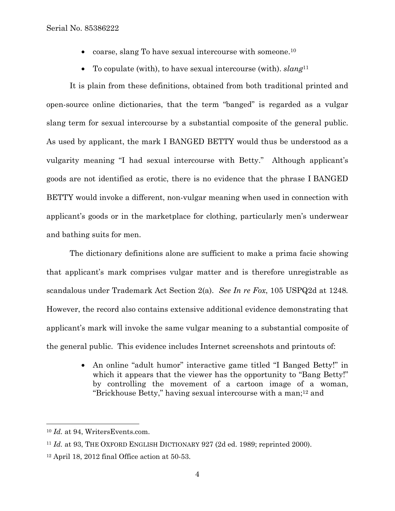- coarse, slang To have sexual intercourse with someone.<sup>10</sup>
- To copulate (with), to have sexual intercourse (with). *slang*<sup>11</sup>

It is plain from these definitions, obtained from both traditional printed and open-source online dictionaries, that the term "banged" is regarded as a vulgar slang term for sexual intercourse by a substantial composite of the general public. As used by applicant, the mark I BANGED BETTY would thus be understood as a vulgarity meaning "I had sexual intercourse with Betty." Although applicant's goods are not identified as erotic, there is no evidence that the phrase I BANGED BETTY would invoke a different, non-vulgar meaning when used in connection with applicant's goods or in the marketplace for clothing, particularly men's underwear and bathing suits for men.

The dictionary definitions alone are sufficient to make a prima facie showing that applicant's mark comprises vulgar matter and is therefore unregistrable as scandalous under Trademark Act Section 2(a). *See In re Fox*, 105 USPQ2d at 1248*.* However, the record also contains extensive additional evidence demonstrating that applicant's mark will invoke the same vulgar meaning to a substantial composite of the general public. This evidence includes Internet screenshots and printouts of:

> • An online "adult humor" interactive game titled "I Banged Betty!" in which it appears that the viewer has the opportunity to "Bang Betty!" by controlling the movement of a cartoon image of a woman, "Brickhouse Betty," having sexual intercourse with a man;12 and

l

<sup>10</sup> *Id.* at 94, WritersEvents.com.

<sup>&</sup>lt;sup>11</sup> *Id.* at 93, THE OXFORD ENGLISH DICTIONARY 927 (2d ed. 1989; reprinted 2000).

<sup>12</sup> April 18, 2012 final Office action at 50-53.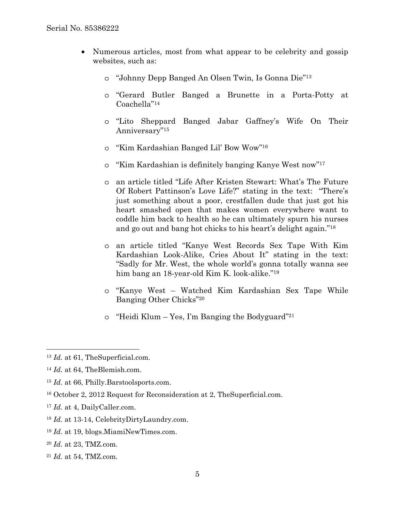- Numerous articles, most from what appear to be celebrity and gossip websites, such as:
	- o "Johnny Depp Banged An Olsen Twin, Is Gonna Die"13
	- o "Gerard Butler Banged a Brunette in a Porta-Potty at Coachella"14
	- o "Lito Sheppard Banged Jabar Gaffney's Wife On Their Anniversary"15
	- o "Kim Kardashian Banged Lil' Bow Wow"16
	- o "Kim Kardashian is definitely banging Kanye West now"17
	- o an article titled "Life After Kristen Stewart: What's The Future Of Robert Pattinson's Love Life?" stating in the text: "There's just something about a poor, crestfallen dude that just got his heart smashed open that makes women everywhere want to coddle him back to health so he can ultimately spurn his nurses and go out and bang hot chicks to his heart's delight again."18
	- o an article titled "Kanye West Records Sex Tape With Kim Kardashian Look-Alike, Cries About It" stating in the text: "Sadly for Mr. West, the whole world's gonna totally wanna see him bang an 18-year-old Kim K. look-alike."19
	- o "Kanye West Watched Kim Kardashian Sex Tape While Banging Other Chicks"20
	- o "Heidi Klum Yes, I'm Banging the Bodyguard"21

1

- 16 October 2, 2012 Request for Reconsideration at 2, TheSuperficial.com.
- <sup>17</sup> *Id.* at 4, DailyCaller.com.
- <sup>18</sup> *Id.* at 13-14, CelebrityDirtyLaundry.com.
- <sup>19</sup> *Id.* at 19, blogs.MiamiNewTimes.com.
- <sup>20</sup> *Id.* at 23, TMZ.com.
- <sup>21</sup> *Id.* at 54, TMZ.com.

<sup>13</sup> *Id.* at 61, TheSuperficial.com.

<sup>14</sup> *Id.* at 64, TheBlemish.com.

<sup>15</sup> *Id.* at 66, Philly.Barstoolsports.com.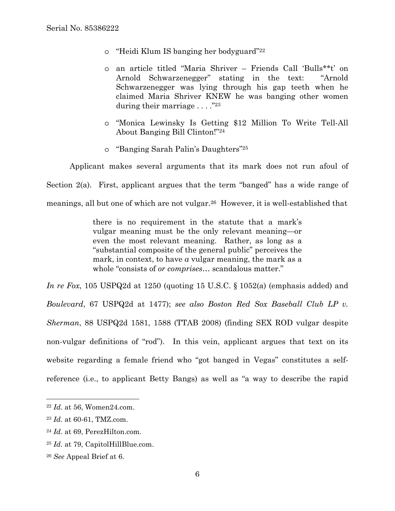- o "Heidi Klum IS banging her bodyguard"22
- o an article titled "Maria Shriver Friends Call 'Bulls\*\*t' on Arnold Schwarzenegger" stating in the text: "Arnold Schwarzenegger was lying through his gap teeth when he claimed Maria Shriver KNEW he was banging other women during their marriage  $\ldots$  ."23
- o "Monica Lewinsky Is Getting \$12 Million To Write Tell-All About Banging Bill Clinton!"24
- o "Banging Sarah Palin's Daughters"25

Applicant makes several arguments that its mark does not run afoul of

Section 2(a). First, applicant argues that the term "banged" has a wide range of

meanings, all but one of which are not vulgar.26 However, it is well-established that

there is no requirement in the statute that a mark's vulgar meaning must be the only relevant meaning—or even the most relevant meaning. Rather, as long as a "substantial composite of the general public" perceives the mark, in context, to have *a* vulgar meaning, the mark as a whole "consists of *or comprises*… scandalous matter."

*In re Fox*, 105 USPQ2d at 1250 (quoting 15 U.S.C. § 1052(a) (emphasis added) and *Boulevard*, 67 USPQ2d at 1477); *see also Boston Red Sox Baseball Club LP v. Sherman*, 88 USPQ2d 1581, 1588 (TTAB 2008) (finding SEX ROD vulgar despite non-vulgar definitions of "rod"). In this vein, applicant argues that text on its website regarding a female friend who "got banged in Vegas" constitutes a selfreference (i.e., to applicant Betty Bangs) as well as "a way to describe the rapid

 $\overline{a}$ 

- <sup>24</sup> *Id.* at 69, PerezHilton.com.
- <sup>25</sup> *Id.* at 79, CapitolHillBlue.com.

<sup>22</sup> *Id.* at 56, Women24.com.

<sup>23</sup> *Id.* at 60-61, TMZ.com.

<sup>26</sup> *See* Appeal Brief at 6.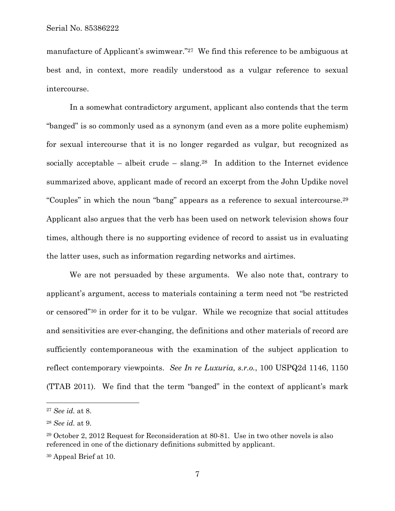manufacture of Applicant's swimwear."27 We find this reference to be ambiguous at best and, in context, more readily understood as a vulgar reference to sexual intercourse.

In a somewhat contradictory argument, applicant also contends that the term "banged" is so commonly used as a synonym (and even as a more polite euphemism) for sexual intercourse that it is no longer regarded as vulgar, but recognized as socially acceptable – albeit crude – slang.<sup>28</sup> In addition to the Internet evidence summarized above, applicant made of record an excerpt from the John Updike novel "Couples" in which the noun "bang" appears as a reference to sexual intercourse.29 Applicant also argues that the verb has been used on network television shows four times, although there is no supporting evidence of record to assist us in evaluating the latter uses, such as information regarding networks and airtimes.

We are not persuaded by these arguments. We also note that, contrary to applicant's argument, access to materials containing a term need not "be restricted or censored"30 in order for it to be vulgar. While we recognize that social attitudes and sensitivities are ever-changing, the definitions and other materials of record are sufficiently contemporaneous with the examination of the subject application to reflect contemporary viewpoints. *See In re Luxuria, s.r.o.*, 100 USPQ2d 1146, 1150 (TTAB 2011). We find that the term "banged" in the context of applicant's mark

 $\overline{a}$ 

<sup>27</sup> *See id.* at 8.

<sup>28</sup> *See id.* at 9.

<sup>29</sup> October 2, 2012 Request for Reconsideration at 80-81. Use in two other novels is also referenced in one of the dictionary definitions submitted by applicant.

<sup>30</sup> Appeal Brief at 10.